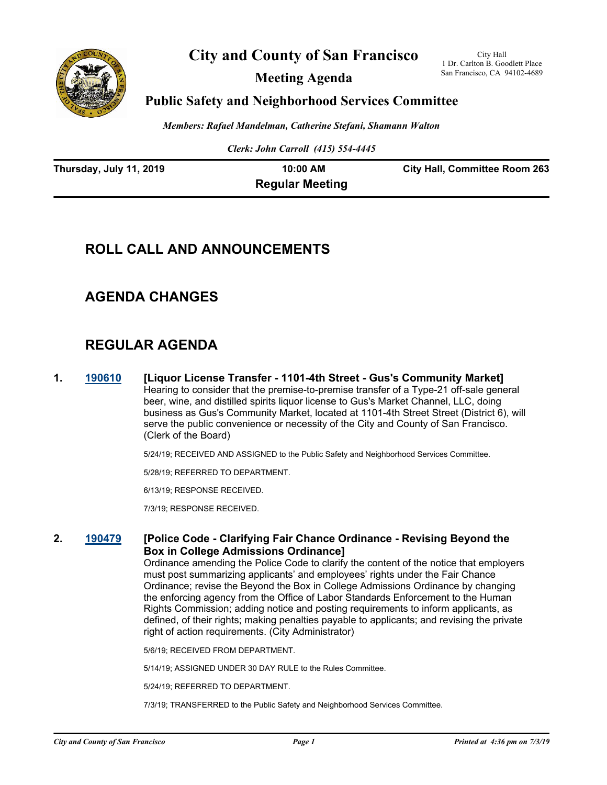

**City and County of San Francisco**

**Meeting Agenda**

City Hall 1 Dr. Carlton B. Goodlett Place San Francisco, CA 94102-4689

## **Public Safety and Neighborhood Services Committee**

*Members: Rafael Mandelman, Catherine Stefani, Shamann Walton*

*Clerk: John Carroll (415) 554-4445*

| Thursday, July 11, 2019 | 10:00 AM               | <b>City Hall, Committee Room 263</b> |
|-------------------------|------------------------|--------------------------------------|
|                         | <b>Regular Meeting</b> |                                      |

# **ROLL CALL AND ANNOUNCEMENTS**

# **AGENDA CHANGES**

# **REGULAR AGENDA**

**1. [190610](http://sfgov.legistar.com/gateway.aspx?m=l&id=34732) [Liquor License Transfer - 1101-4th Street - Gus's Community Market]** Hearing to consider that the premise-to-premise transfer of a Type-21 off-sale general beer, wine, and distilled spirits liquor license to Gus's Market Channel, LLC, doing business as Gus's Community Market, located at 1101-4th Street Street (District 6), will serve the public convenience or necessity of the City and County of San Francisco. (Clerk of the Board)

5/24/19; RECEIVED AND ASSIGNED to the Public Safety and Neighborhood Services Committee.

5/28/19; REFERRED TO DEPARTMENT.

6/13/19; RESPONSE RECEIVED.

7/3/19; RESPONSE RECEIVED.

#### **2. [190479](http://sfgov.legistar.com/gateway.aspx?m=l&id=34601) [Police Code - Clarifying Fair Chance Ordinance - Revising Beyond the Box in College Admissions Ordinance]**

Ordinance amending the Police Code to clarify the content of the notice that employers must post summarizing applicants' and employees' rights under the Fair Chance Ordinance; revise the Beyond the Box in College Admissions Ordinance by changing the enforcing agency from the Office of Labor Standards Enforcement to the Human Rights Commission; adding notice and posting requirements to inform applicants, as defined, of their rights; making penalties payable to applicants; and revising the private right of action requirements. (City Administrator)

5/6/19; RECEIVED FROM DEPARTMENT.

5/14/19; ASSIGNED UNDER 30 DAY RULE to the Rules Committee.

5/24/19; REFERRED TO DEPARTMENT.

7/3/19; TRANSFERRED to the Public Safety and Neighborhood Services Committee.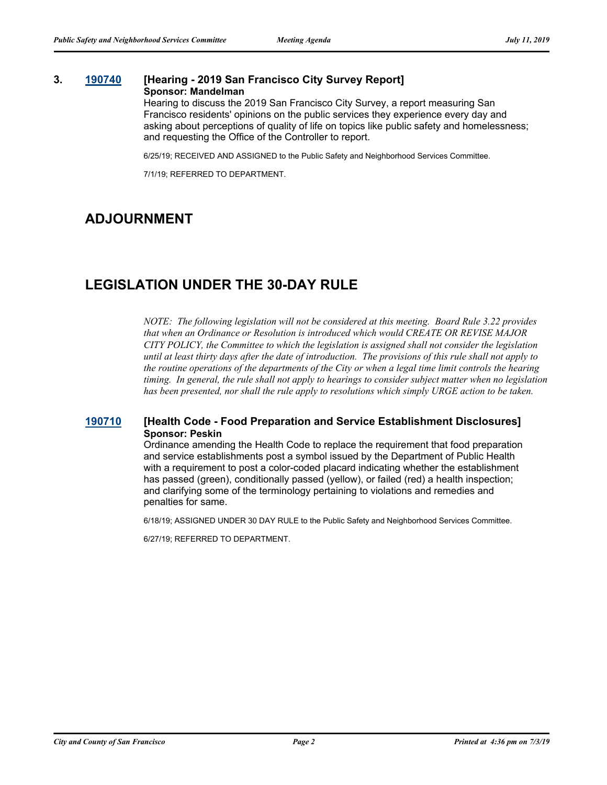## **3. [190740](http://sfgov.legistar.com/gateway.aspx?m=l&id=34862) [Hearing - 2019 San Francisco City Survey Report]**

#### **Sponsor: Mandelman**

Hearing to discuss the 2019 San Francisco City Survey, a report measuring San Francisco residents' opinions on the public services they experience every day and asking about perceptions of quality of life on topics like public safety and homelessness; and requesting the Office of the Controller to report.

6/25/19; RECEIVED AND ASSIGNED to the Public Safety and Neighborhood Services Committee.

7/1/19; REFERRED TO DEPARTMENT.

# **ADJOURNMENT**

# **LEGISLATION UNDER THE 30-DAY RULE**

*NOTE: The following legislation will not be considered at this meeting. Board Rule 3.22 provides that when an Ordinance or Resolution is introduced which would CREATE OR REVISE MAJOR CITY POLICY, the Committee to which the legislation is assigned shall not consider the legislation until at least thirty days after the date of introduction. The provisions of this rule shall not apply to the routine operations of the departments of the City or when a legal time limit controls the hearing timing. In general, the rule shall not apply to hearings to consider subject matter when no legislation has been presented, nor shall the rule apply to resolutions which simply URGE action to be taken.*

#### **[190710](http://sfgov.legistar.com/gateway.aspx?m=l&id=34832) [Health Code - Food Preparation and Service Establishment Disclosures] Sponsor: Peskin**

Ordinance amending the Health Code to replace the requirement that food preparation and service establishments post a symbol issued by the Department of Public Health with a requirement to post a color-coded placard indicating whether the establishment has passed (green), conditionally passed (yellow), or failed (red) a health inspection; and clarifying some of the terminology pertaining to violations and remedies and penalties for same.

6/18/19; ASSIGNED UNDER 30 DAY RULE to the Public Safety and Neighborhood Services Committee.

6/27/19; REFERRED TO DEPARTMENT.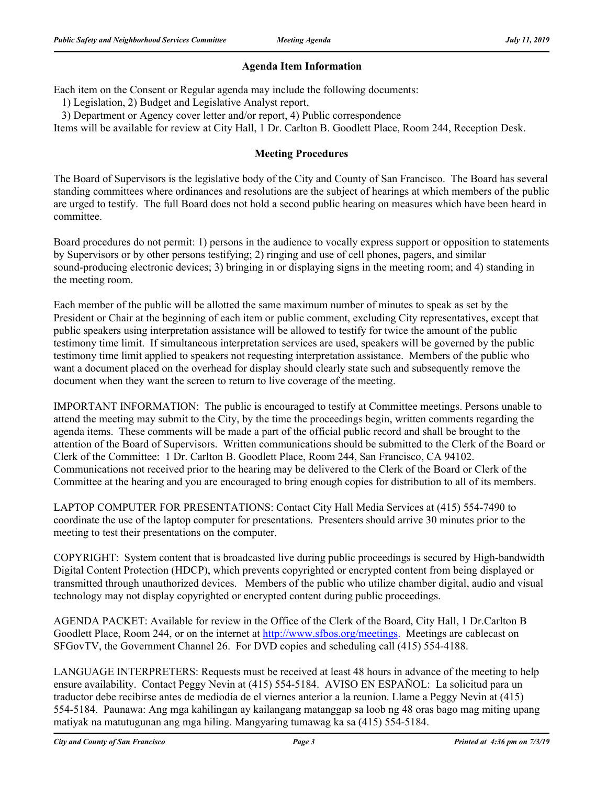## **Agenda Item Information**

Each item on the Consent or Regular agenda may include the following documents:

1) Legislation, 2) Budget and Legislative Analyst report,

3) Department or Agency cover letter and/or report, 4) Public correspondence

Items will be available for review at City Hall, 1 Dr. Carlton B. Goodlett Place, Room 244, Reception Desk.

## **Meeting Procedures**

The Board of Supervisors is the legislative body of the City and County of San Francisco. The Board has several standing committees where ordinances and resolutions are the subject of hearings at which members of the public are urged to testify. The full Board does not hold a second public hearing on measures which have been heard in committee.

Board procedures do not permit: 1) persons in the audience to vocally express support or opposition to statements by Supervisors or by other persons testifying; 2) ringing and use of cell phones, pagers, and similar sound-producing electronic devices; 3) bringing in or displaying signs in the meeting room; and 4) standing in the meeting room.

Each member of the public will be allotted the same maximum number of minutes to speak as set by the President or Chair at the beginning of each item or public comment, excluding City representatives, except that public speakers using interpretation assistance will be allowed to testify for twice the amount of the public testimony time limit. If simultaneous interpretation services are used, speakers will be governed by the public testimony time limit applied to speakers not requesting interpretation assistance. Members of the public who want a document placed on the overhead for display should clearly state such and subsequently remove the document when they want the screen to return to live coverage of the meeting.

IMPORTANT INFORMATION: The public is encouraged to testify at Committee meetings. Persons unable to attend the meeting may submit to the City, by the time the proceedings begin, written comments regarding the agenda items. These comments will be made a part of the official public record and shall be brought to the attention of the Board of Supervisors. Written communications should be submitted to the Clerk of the Board or Clerk of the Committee: 1 Dr. Carlton B. Goodlett Place, Room 244, San Francisco, CA 94102. Communications not received prior to the hearing may be delivered to the Clerk of the Board or Clerk of the Committee at the hearing and you are encouraged to bring enough copies for distribution to all of its members.

LAPTOP COMPUTER FOR PRESENTATIONS: Contact City Hall Media Services at (415) 554-7490 to coordinate the use of the laptop computer for presentations. Presenters should arrive 30 minutes prior to the meeting to test their presentations on the computer.

COPYRIGHT: System content that is broadcasted live during public proceedings is secured by High-bandwidth Digital Content Protection (HDCP), which prevents copyrighted or encrypted content from being displayed or transmitted through unauthorized devices. Members of the public who utilize chamber digital, audio and visual technology may not display copyrighted or encrypted content during public proceedings.

AGENDA PACKET: Available for review in the Office of the Clerk of the Board, City Hall, 1 Dr.Carlton B Goodlett Place, Room 244, or on the internet at http://www.sfbos.org/meetings. Meetings are cablecast on SFGovTV, the Government Channel 26. For DVD copies and scheduling call (415) 554-4188.

LANGUAGE INTERPRETERS: Requests must be received at least 48 hours in advance of the meeting to help ensure availability. Contact Peggy Nevin at (415) 554-5184. AVISO EN ESPAÑOL: La solicitud para un traductor debe recibirse antes de mediodía de el viernes anterior a la reunion. Llame a Peggy Nevin at (415) 554-5184. Paunawa: Ang mga kahilingan ay kailangang matanggap sa loob ng 48 oras bago mag miting upang matiyak na matutugunan ang mga hiling. Mangyaring tumawag ka sa (415) 554-5184.